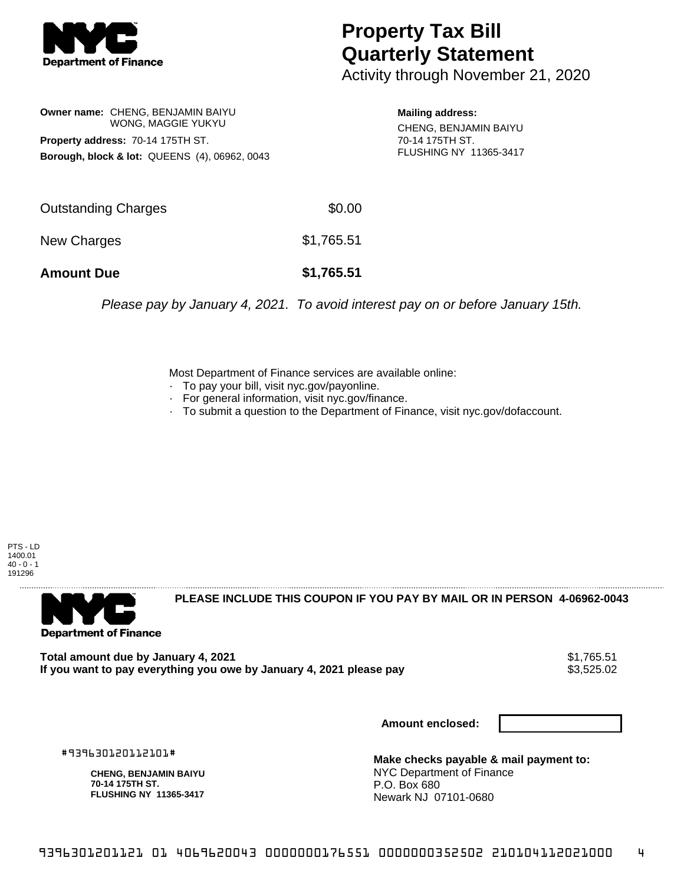

## **Property Tax Bill Quarterly Statement**

Activity through November 21, 2020

**Owner name:** CHENG, BENJAMIN BAIYU WONG, MAGGIE YUKYU **Property address:** 70-14 175TH ST. **Borough, block & lot:** QUEENS (4), 06962, 0043

**Mailing address:** CHENG, BENJAMIN BAIYU 70-14 175TH ST. FLUSHING NY 11365-3417

| <b>Amount Due</b>   | \$1,765.51 |
|---------------------|------------|
| New Charges         | \$1,765.51 |
| Outstanding Charges | \$0.00     |

Please pay by January 4, 2021. To avoid interest pay on or before January 15th.

Most Department of Finance services are available online:

- · To pay your bill, visit nyc.gov/payonline.
- For general information, visit nyc.gov/finance.
- · To submit a question to the Department of Finance, visit nyc.gov/dofaccount.

PTS - LD 1400.01  $40 - 0 - 1$ 191296



**PLEASE INCLUDE THIS COUPON IF YOU PAY BY MAIL OR IN PERSON 4-06962-0043** 

Total amount due by January 4, 2021<br>If you want to pay everything you owe by January 4, 2021 please pay **show that the summan way.** \$3,525.02 If you want to pay everything you owe by January 4, 2021 please pay

**Amount enclosed:**

#939630120112101#

**CHENG, BENJAMIN BAIYU 70-14 175TH ST. FLUSHING NY 11365-3417**

**Make checks payable & mail payment to:** NYC Department of Finance P.O. Box 680 Newark NJ 07101-0680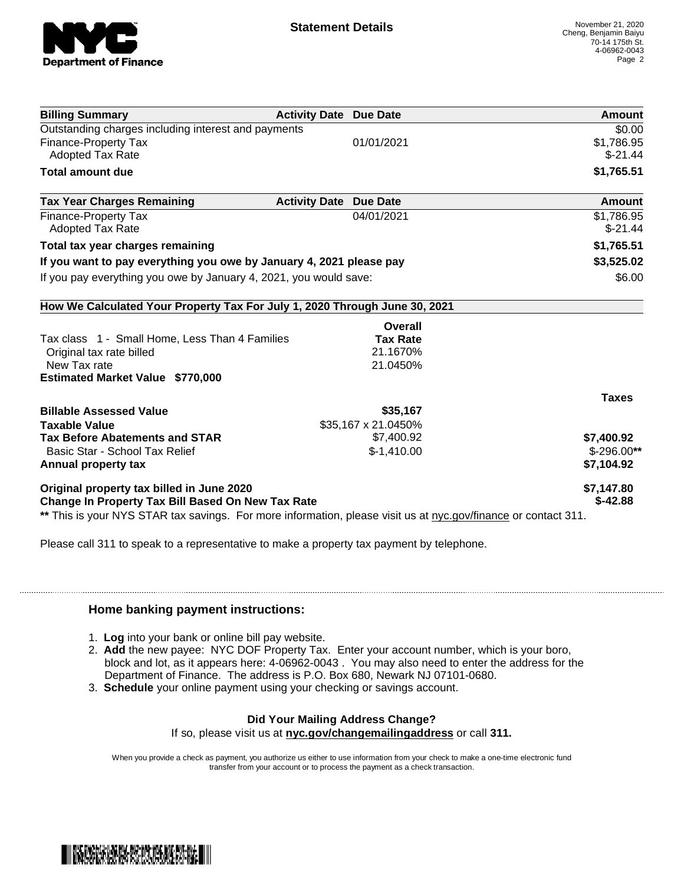

| <b>Billing Summary</b>                                                                                         | <b>Activity Date Due Date</b>           | Amount       |
|----------------------------------------------------------------------------------------------------------------|-----------------------------------------|--------------|
| Outstanding charges including interest and payments                                                            |                                         | \$0.00       |
| <b>Finance-Property Tax</b>                                                                                    | 01/01/2021                              | \$1,786.95   |
| Adopted Tax Rate                                                                                               |                                         | $$-21.44$    |
| <b>Total amount due</b>                                                                                        |                                         | \$1,765.51   |
| <b>Tax Year Charges Remaining</b>                                                                              | <b>Activity Date</b><br><b>Due Date</b> | Amount       |
| <b>Finance-Property Tax</b>                                                                                    | 04/01/2021                              | \$1,786.95   |
| <b>Adopted Tax Rate</b>                                                                                        |                                         | $$-21.44$    |
| Total tax year charges remaining                                                                               |                                         | \$1,765.51   |
| If you want to pay everything you owe by January 4, 2021 please pay                                            |                                         | \$3,525.02   |
| If you pay everything you owe by January 4, 2021, you would save:                                              |                                         | \$6.00       |
| How We Calculated Your Property Tax For July 1, 2020 Through June 30, 2021                                     |                                         |              |
|                                                                                                                | <b>Overall</b>                          |              |
| Tax class 1 - Small Home, Less Than 4 Families                                                                 | <b>Tax Rate</b>                         |              |
| Original tax rate billed                                                                                       | 21.1670%                                |              |
| New Tax rate                                                                                                   | 21.0450%                                |              |
| <b>Estimated Market Value \$770,000</b>                                                                        |                                         |              |
|                                                                                                                |                                         | <b>Taxes</b> |
| <b>Billable Assessed Value</b>                                                                                 | \$35,167                                |              |
| <b>Taxable Value</b>                                                                                           | \$35,167 x 21.0450%                     |              |
| <b>Tax Before Abatements and STAR</b>                                                                          | \$7,400.92                              | \$7,400.92   |
| Basic Star - School Tax Relief                                                                                 | $$-1,410.00$                            | $$-296.00**$ |
| Annual property tax                                                                                            |                                         | \$7,104.92   |
| Original property tax billed in June 2020                                                                      |                                         | \$7,147.80   |
| Change In Property Tax Bill Based On New Tax Rate                                                              |                                         | $$-42.88$    |
| ** This is your NYS STAR tax savings. For more information, please visit us at nyc.gov/finance or contact 311. |                                         |              |

Please call 311 to speak to a representative to make a property tax payment by telephone.

## **Home banking payment instructions:**

- 1. **Log** into your bank or online bill pay website.
- 2. **Add** the new payee: NYC DOF Property Tax. Enter your account number, which is your boro, block and lot, as it appears here: 4-06962-0043 . You may also need to enter the address for the Department of Finance. The address is P.O. Box 680, Newark NJ 07101-0680.
- 3. **Schedule** your online payment using your checking or savings account.

## **Did Your Mailing Address Change?**

If so, please visit us at **nyc.gov/changemailingaddress** or call **311.**

When you provide a check as payment, you authorize us either to use information from your check to make a one-time electronic fund transfer from your account or to process the payment as a check transaction.